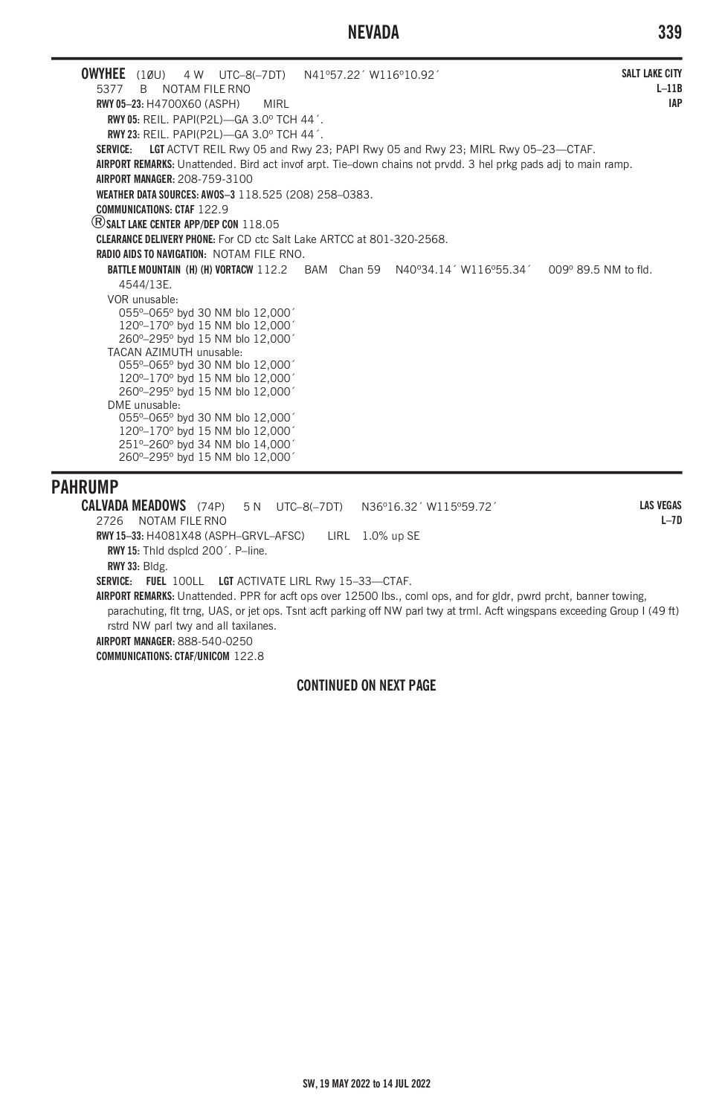# **NEVADA 339**

**OWYHEE** (10U) 4 W UTC–8(–7DT) N41°57.22<sup>'</sup> W116°10.92<sup>'</sup><br>5377 B NOTAM FILE RNO B NOTAM FILE RNO **RWY 05–23:** H4700X60 (ASPH) MIRL **RWY 05:** REIL. PAPI(P2L)—GA 3.0º TCH 44´. **RWY 23:** REIL. PAPI(P2L)—GA 3.0º TCH 44´. **SERVICE: LGT** ACTVT REIL Rwy 05 and Rwy 23; PAPI Rwy 05 and Rwy 23; MIRL Rwy 05–23—CTAF. **AIRPORT REMARKS:** Unattended. Bird act invof arpt. Tie–down chains not prvdd. 3 hel prkg pads adj to main ramp. **AIRPORT MANAGER:** 208-759-3100 **WEATHER DATA SOURCES: AWOS–3** 118.525 (208) 258–0383. **COMMUNICATIONS: CTAF** 122.9 ®**SALT LAKE CENTER APP/DEP CON** 118.05 **CLEARANCE DELIVERY PHONE:** For CD ctc Salt Lake ARTCC at 801-320-2568. **RADIO AIDS TO NAVIGATION:** NOTAM FILE RNO. **BATTLE MOUNTAIN (H) (H) VORTACW** 112.2 BAM Chan 59 N40°34.14' W116°55.34' 009° 89.5 NM to fld. 4544/13E. VOR unusable: 055º–065º byd 30 NM blo 12,000´ 120º–170º byd 15 NM blo 12,000´ 260º–295º byd 15 NM blo 12,000´ TACAN AZIMUTH unusable: 055º–065º byd 30 NM blo 12,000´ 120º–170º byd 15 NM blo 12,000´ 260º–295º byd 15 NM blo 12,000´ DME unusable: 055º–065º byd 30 NM blo 12,000´ 120º–170º byd 15 NM blo 12,000´ 251º–260º byd 34 NM blo 14,000´ 260º–295º byd 15 NM blo 12,000´ **SALT LAKE CITY L–11B IAP**

# **PAHRUMP**

**CALVADA MEADOWS** (74P) 5 N UTC–8(–7DT) N36º16.32´ W115º59.72´ 2726 NOTAM FILE RNO **RWY 15–33:** H4081X48 (ASPH–GRVL–AFSC) LIRL 1.0% up SE **RWY 15:** Thld dsplcd 200´. P–line. **RWY 33:** Bldg. **SERVICE: FUEL** 100LL **LGT** ACTIVATE LIRL Rwy 15–33—CTAF. **AIRPORT REMARKS:** Unattended. PPR for acft ops over 12500 lbs., coml ops, and for gldr, pwrd prcht, banner towing, parachuting, flt trng, UAS, or jet ops. Tsnt acft parking off NW parl twy at trml. Acft wingspans exceeding Group I (49 ft) rstrd NW parl twy and all taxilanes. **AIRPORT MANAGER:** 888-540-0250 **LAS VEGAS L–7D**

**COMMUNICATIONS: CTAF/UNICOM** 122.8

### **CONTINUED ON NEXT PAGE**